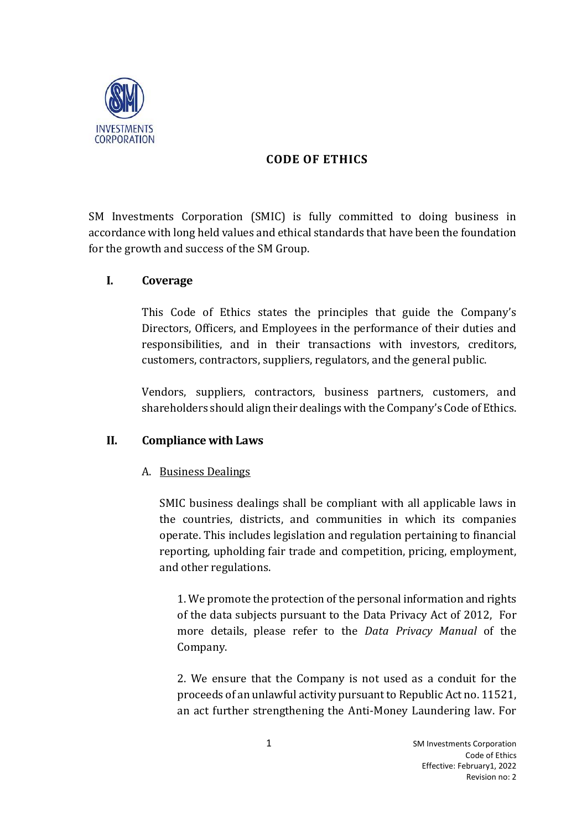

# **CODE OF ETHICS**

SM Investments Corporation (SMIC) is fully committed to doing business in accordance with long held values and ethical standards that have been the foundation for the growth and success of the SM Group.

# **I. Coverage**

This Code of Ethics states the principles that guide the Company's Directors, Officers, and Employees in the performance of their duties and responsibilities, and in their transactions with investors, creditors, customers, contractors, suppliers, regulators, and the general public.

Vendors, suppliers, contractors, business partners, customers, and shareholders should align their dealings with the Company's Code of Ethics.

### **II. Compliance with Laws**

### A. Business Dealings

SMIC business dealings shall be compliant with all applicable laws in the countries, districts, and communities in which its companies operate. This includes legislation and regulation pertaining to financial reporting, upholding fair trade and competition, pricing, employment, and other regulations.

1. We promote the protection of the personal information and rights of the data subjects pursuant to the Data Privacy Act of 2012, For more details, please refer to the *Data Privacy Manual* of the Company.

2. We ensure that the Company is not used as a conduit for the proceeds of an unlawful activity pursuant to Republic Act no. 11521, an act further strengthening the Anti-Money Laundering law. For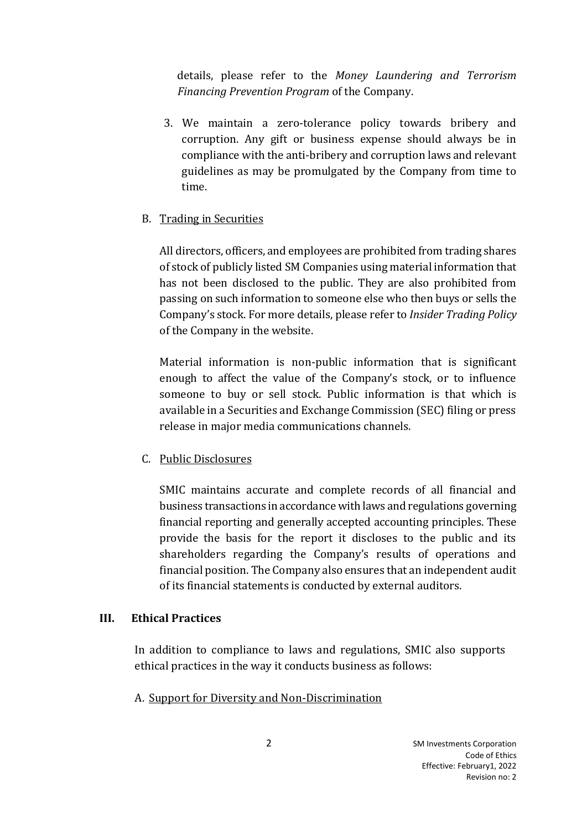details, please refer to the *Money Laundering and Terrorism Financing Prevention Program* of the Company.

- 3. We maintain a zero-tolerance policy towards bribery and corruption. Any gift or business expense should always be in compliance with the anti-bribery and corruption laws and relevant guidelines as may be promulgated by the Company from time to time.
- B. Trading in Securities

All directors, officers, and employees are prohibited from trading shares of stock of publicly listed SM Companies using material information that has not been disclosed to the public. They are also prohibited from passing on such information to someone else who then buys or sells the Company's stock. For more details, please refer to *Insider Trading Policy* of the Company in the website.

Material information is non-public information that is significant enough to affect the value of the Company's stock, or to influence someone to buy or sell stock. Public information is that which is available in a Securities and Exchange Commission (SEC) filing or press release in major media communications channels.

C. Public Disclosures

SMIC maintains accurate and complete records of all financial and business transactions in accordance with laws and regulations governing financial reporting and generally accepted accounting principles. These provide the basis for the report it discloses to the public and its shareholders regarding the Company's results of operations and financial position. The Company also ensures that an independent audit of its financial statements is conducted by external auditors.

### **III. Ethical Practices**

In addition to compliance to laws and regulations, SMIC also supports ethical practices in the way it conducts business as follows:

A. Support for Diversity and Non-Discrimination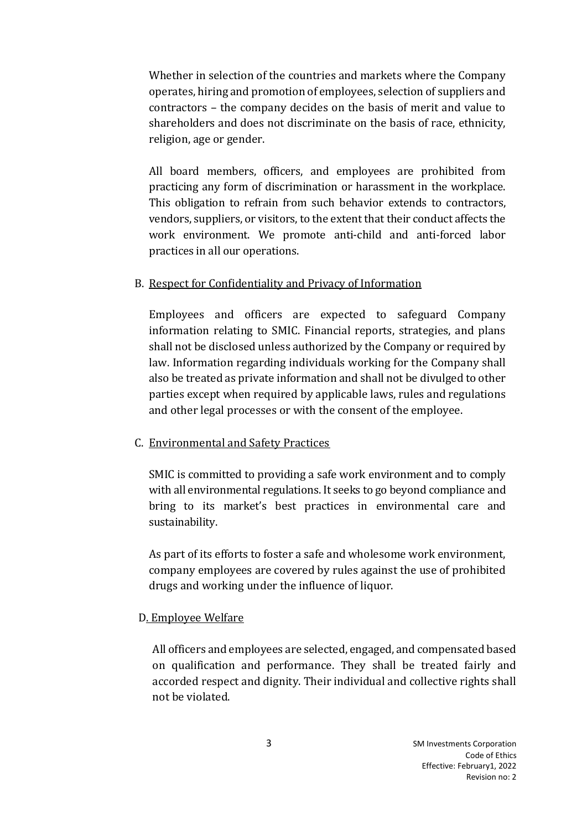Whether in selection of the countries and markets where the Company operates, hiring and promotion of employees, selection of suppliers and contractors – the company decides on the basis of merit and value to shareholders and does not discriminate on the basis of race, ethnicity, religion, age or gender.

All board members, officers, and employees are prohibited from practicing any form of discrimination or harassment in the workplace. This obligation to refrain from such behavior extends to contractors, vendors, suppliers, or visitors, to the extent that their conduct affects the work environment. We promote anti-child and anti-forced labor practices in all our operations.

#### B. Respect for Confidentiality and Privacy of Information

Employees and officers are expected to safeguard Company information relating to SMIC. Financial reports, strategies, and plans shall not be disclosed unless authorized by the Company or required by law. Information regarding individuals working for the Company shall also be treated as private information and shall not be divulged to other parties except when required by applicable laws, rules and regulations and other legal processes or with the consent of the employee.

#### C. Environmental and Safety Practices

SMIC is committed to providing a safe work environment and to comply with all environmental regulations. It seeks to go beyond compliance and bring to its market's best practices in environmental care and sustainability.

As part of its efforts to foster a safe and wholesome work environment, company employees are covered by rules against the use of prohibited drugs and working under the influence of liquor.

### D. Employee Welfare

All officers and employees are selected, engaged, and compensated based on qualification and performance. They shall be treated fairly and accorded respect and dignity. Their individual and collective rights shall not be violated.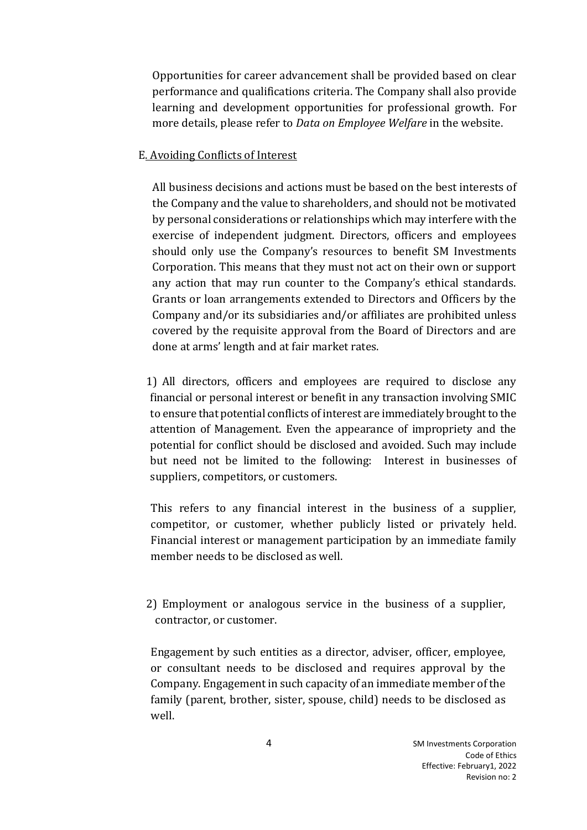Opportunities for career advancement shall be provided based on clear performance and qualifications criteria. The Company shall also provide learning and development opportunities for professional growth. For more details, please refer to *Data on Employee Welfare* in the website.

#### E. Avoiding Conflicts of Interest

All business decisions and actions must be based on the best interests of the Company and the value to shareholders, and should not be motivated by personal considerations or relationships which may interfere with the exercise of independent judgment. Directors, officers and employees should only use the Company's resources to benefit SM Investments Corporation. This means that they must not act on their own or support any action that may run counter to the Company's ethical standards. Grants or loan arrangements extended to Directors and Officers by the Company and/or its subsidiaries and/or affiliates are prohibited unless covered by the requisite approval from the Board of Directors and are done at arms' length and at fair market rates.

1) All directors, officers and employees are required to disclose any financial or personal interest or benefit in any transaction involving SMIC to ensure that potential conflicts of interest are immediately brought to the attention of Management. Even the appearance of impropriety and the potential for conflict should be disclosed and avoided. Such may include but need not be limited to the following: Interest in businesses of suppliers, competitors, or customers.

This refers to any financial interest in the business of a supplier, competitor, or customer, whether publicly listed or privately held. Financial interest or management participation by an immediate family member needs to be disclosed as well.

2) Employment or analogous service in the business of a supplier, contractor, or customer.

Engagement by such entities as a director, adviser, officer, employee, or consultant needs to be disclosed and requires approval by the Company. Engagement in such capacity of an immediate member of the family (parent, brother, sister, spouse, child) needs to be disclosed as well.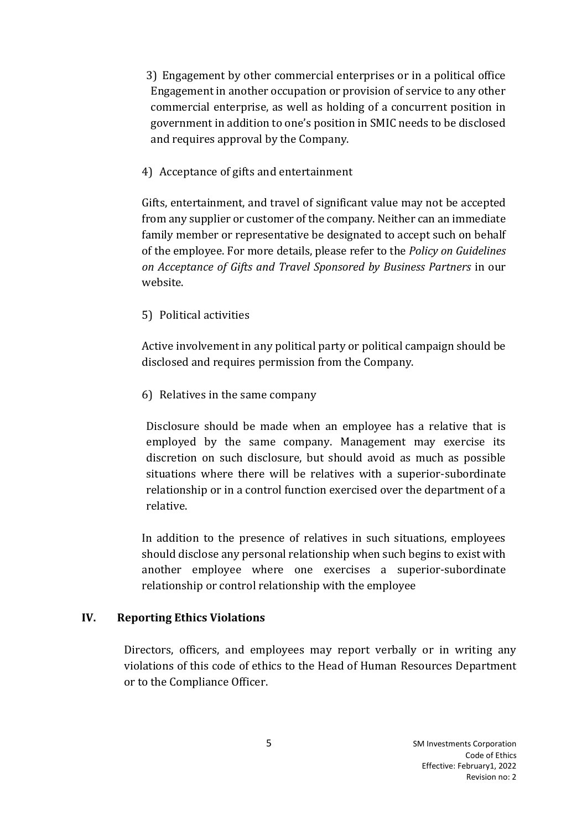3) Engagement by other commercial enterprises or in a political office Engagement in another occupation or provision of service to any other commercial enterprise, as well as holding of a concurrent position in government in addition to one's position in SMIC needs to be disclosed and requires approval by the Company.

4) Acceptance of gifts and entertainment

Gifts, entertainment, and travel of significant value may not be accepted from any supplier or customer of the company. Neither can an immediate family member or representative be designated to accept such on behalf of the employee. For more details, please refer to the *Policy on Guidelines on Acceptance of Gifts and Travel Sponsored by Business Partners* in our website.

5) Political activities

Active involvement in any political party or political campaign should be disclosed and requires permission from the Company.

6) Relatives in the same company

Disclosure should be made when an employee has a relative that is employed by the same company. Management may exercise its discretion on such disclosure, but should avoid as much as possible situations where there will be relatives with a superior-subordinate relationship or in a control function exercised over the department of a relative.

In addition to the presence of relatives in such situations, employees should disclose any personal relationship when such begins to exist with another employee where one exercises a superior-subordinate relationship or control relationship with the employee

### **IV. Reporting Ethics Violations**

Directors, officers, and employees may report verbally or in writing any violations of this code of ethics to the Head of Human Resources Department or to the Compliance Officer.